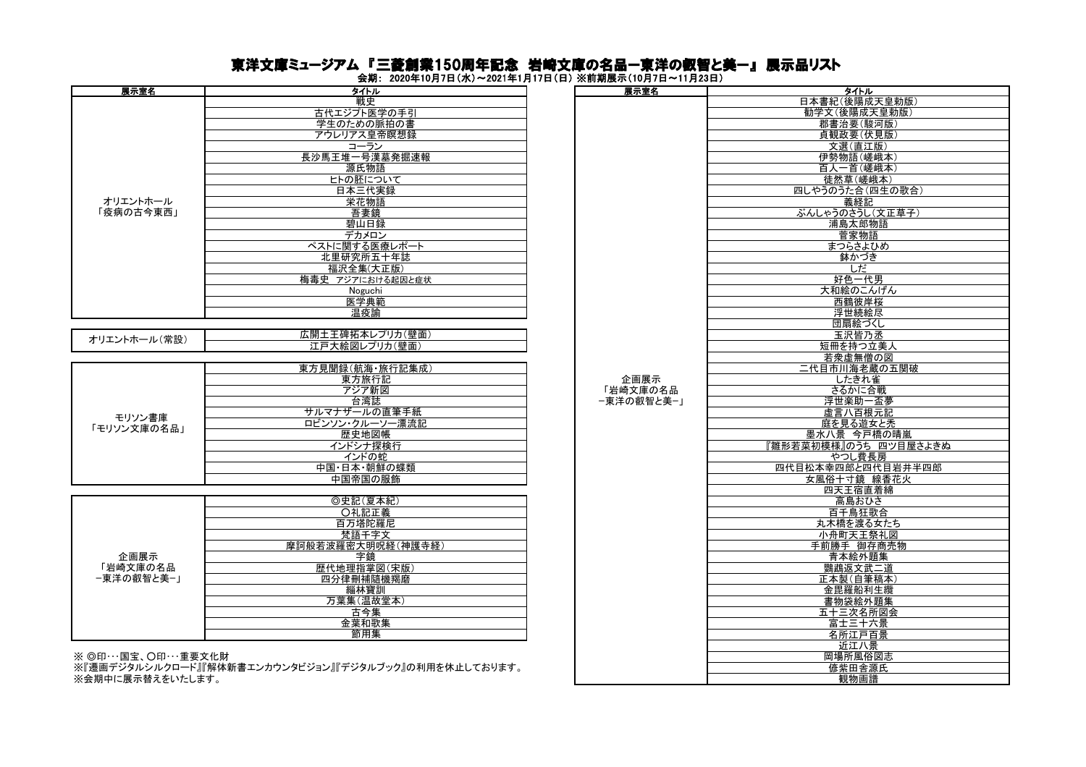## 東洋文庫ミュージアム 『三菱創業150周年記念 岩崎文庫の名品ー東洋の叡智と美ー』 展示品リスト

会期: 2020年10月7日(水)~2021年1月17日(日) ※前期展示(10月7日~11月23日)

| 展示室名                   | タイトル              |  | 展示室名       | タイトル         |
|------------------------|-------------------|--|------------|--------------|
|                        | 戦史                |  |            | 日本書紀(後陽成     |
|                        | 古代エジプト医学の手引       |  |            | 勧学文(後陽成:     |
|                        | 学生のための脈拍の書        |  |            | 郡書治要(駿       |
|                        | アウレリアス皇帝瞑想録       |  |            | 貞観政要(伏       |
|                        | コーラン              |  |            | 文選(直江        |
|                        | 長沙馬王堆一号漢墓発掘速報     |  |            | 伊勢物語(嵯       |
|                        |                   |  |            |              |
| オリエントホール<br>「疫病の古今東西」  | 源氏物語              |  |            | 百人一首(嵯       |
|                        | ヒトの胚について          |  |            | 徒然草(嵯        |
|                        | 日本三代実録            |  |            | 四しやうのうた合(    |
|                        | 栄花物語              |  |            | 義経記          |
|                        | 吾妻鏡               |  |            | ぶんしゃうのさうし    |
|                        | 碧山日録              |  |            | 浦島太郎!        |
|                        | デカメロン             |  |            | 菅家物          |
|                        | ペストに関する医療レポート     |  |            | まつらさよ        |
|                        | 北里研究所五十年誌         |  |            | 鉢かづ          |
|                        | 福沢全集(大正版)         |  |            | しだ           |
|                        | 梅毒史 アジアにおける起因と症状  |  |            | 好色一代         |
|                        | Noguchi           |  |            | 大和絵のこん       |
|                        | 医学典範              |  |            | 西鶴彼岸         |
|                        | 温疫諭               |  |            | 浮世続絵         |
|                        |                   |  |            | 団扇絵づ         |
|                        | 広開土王碑拓本レプリカ(壁面)   |  |            | 玉沢皆乃         |
| オリエントホール(常設)           | 江戸大絵図レプリカ(壁面)     |  |            | 短冊を持つ        |
|                        |                   |  |            | 若衆虚無僧        |
|                        | 東方見聞録(航海·旅行記集成)   |  |            | 二代目市川海老      |
|                        |                   |  | 企画展示       |              |
|                        | 東方旅行記             |  |            | したきれ         |
|                        | アジア新図             |  | 「岩崎文庫の名品   | さるかに台        |
|                        | 台湾誌               |  | -東洋の叡智と美-」 | 浮世楽助一        |
| モリソン書庫                 | サルマナザールの直筆手紙      |  |            | 虚言八百根        |
| 「モリソン文庫の名品」            | ロビンソン・クルーソー漂流記    |  |            | 庭を見る遊?       |
|                        | 歴史地図帳             |  |            | 墨水八景 今戸      |
|                        | インドシナ探検行          |  |            | 『雛形若菜初模様』のうち |
|                        | インドの蛇             |  |            | やつし費         |
|                        | 中国・日本・朝鮮の蝶類       |  |            | 四代目松本幸四郎と四   |
|                        | 中国帝国の服飾           |  |            | 女風俗十寸鏡       |
|                        |                   |  |            | 四天王宿直        |
|                        | ◎史記(夏本紀)          |  |            | 高島おひ         |
|                        | ○礼記正義             |  |            | 百千鳥狂         |
|                        | 百万塔陀羅尼            |  |            | 丸木橋を渡る       |
|                        | 梵語千字文             |  |            | 小舟町天王        |
|                        | 摩訶般若波羅密大明呪経(神護寺経) |  |            | 手前勝手 御存      |
| 企画展示                   | 字鏡                |  |            | 青本絵外         |
| 「岩崎文庫の名品<br>-東洋の叡智と美-」 | 歴代地理指掌図(宋版)       |  |            | 鸚鵡返文武        |
|                        |                   |  |            |              |
|                        | 四分律刪補隨機羯磨         |  |            | 正本製(自筆       |
|                        | 緇林寶訓              |  |            | 金毘羅船利        |
|                        | 万葉集(温故堂本)         |  |            | 書物袋絵外        |
|                        | 古今集               |  |            | 五十三次名        |
|                        | 金葉和歌集             |  |            | 富士三十         |
|                        | 節用集               |  |            | 名所江戸         |
|                        |                   |  |            | 16江八县        |

 $\%$  ©印…国宝、〇印…重要文化財

※『遷画デジタルシルクロード』『解体新書エンカウンタビジョン』『デジタルブック』の利用を休止しております。 ……』』。<br>※会期中に展示替えをいたします。

| タイトル                                | 展示室名       | タイトル                  |
|-------------------------------------|------------|-----------------------|
| 戦史                                  |            | 日本書紀(後陽成天皇勅版)         |
| 古代エジプト医学の手引                         |            | 勧学文(後陽成天皇勅版)          |
| 学生のための脈拍の書                          |            | 郡書治要(駿河版)             |
|                                     |            | 貞観政要(伏見版)             |
| アウレリアス皇帝瞑想録                         |            |                       |
| コーラン                                |            | 文選(直江版)               |
| 長沙馬王堆一号漢墓発掘速報                       |            | 伊勢物語(嵯峨本)             |
| 源氏物語                                |            | 百人一首(嵯峨本)             |
| ヒトの胚について                            |            | 徒然草(嵯峨本)              |
| 日本三代実録                              |            | 四しやうのうた合(四生の歌合)       |
| <u> 栄花物語</u>                        |            | 義経記                   |
|                                     |            |                       |
| 吾妻鏡                                 |            | ぶんしゃうのさうし(文正草子)       |
| 碧山日録                                |            | 浦島太郎物語                |
| デカメロン                               |            | 菅家物語                  |
| ペストに関する医療レポート                       |            | まつらさよひめ               |
| 北里研究所五十年誌                           |            | 鉢かづき                  |
| 福沢全集(大正版)                           |            | しだ                    |
| 梅毒史 アジアにおける起因と症状                    |            | 好色一代男                 |
|                                     |            | 大和絵のこんげん              |
| Noguchi                             |            |                       |
| 医学典範                                |            | 西鶴彼岸桜                 |
| 温疫諭                                 |            | 浮世続絵尽                 |
|                                     |            | 団扇絵づくし                |
| 広開土王碑拓本レプリカ(壁面)                     |            | 玉沢皆乃丞                 |
| 江戸大絵図レプリカ(壁面)                       |            | 短冊を持つ立美人              |
|                                     |            | 若衆虚無僧の図               |
| 東方見聞録(航海·旅行記集成)                     |            | 二代目市川海老蔵の五関破          |
| 東方旅行記                               | 企画展示       | したきれ雀                 |
|                                     | 「岩崎文庫の名品   |                       |
| アジア新図                               |            | さるかに合戦                |
| 台湾誌                                 | −東洋の叡智と美−」 | 浮世楽助一盃夢               |
| サルマナザールの直筆手紙                        |            | 虚言八百根元記               |
| ロビンソン・クルーソー漂流記                      |            | 庭を見る遊女と禿              |
| 歴史地図帳                               |            | 墨水八景 今戸橋の晴嵐           |
| インドシナ探検行                            |            | 『雛形若菜初模様』のうち 四ツ目屋さよきぬ |
| インドの蛇                               |            | やつし費長房                |
| 中国・日本・朝鮮の蝶類                         |            | 四代目松本幸四郎と四代目岩井半四郎     |
| 中国帝国の服飾                             |            | 女風俗十寸鏡 線香花火           |
|                                     |            | 四天王宿直着綿               |
|                                     |            |                       |
| ◎史記(夏本紀)                            |            | 高島おひさ                 |
| ○礼記正義                               |            | 百千鳥狂歌合                |
| 百万塔陀羅尼                              |            | 丸木橋を渡る女たち             |
| 梵語千字文                               |            | 小舟町天王祭礼図              |
| 摩訶般若波羅密大明呪経(神護寺経)                   |            | 手前勝手 御存商売物            |
| 字鏡                                  |            | 青本絵外題集                |
| 歴代地理指掌図(宋版)                         |            | 鸚鵡返文武二道               |
| 四分律刪補隨機羯磨                           |            | 正本製(自筆稿本)             |
|                                     |            |                       |
| 緇林寶訓                                |            | 金毘羅船利生纜               |
| 万葉集(温故堂本)                           |            | 書物袋絵外題集               |
| 古今集                                 |            | 五十三次名所図会              |
| 金葉和歌集                               |            | 富士三十六景                |
| 節用集                                 |            | 名所江戸百景                |
|                                     |            | 近江八景                  |
|                                     |            | 岡場所風俗図志               |
| <b>パビジョン』『デジタルブック』の利用を休止しております。</b> |            |                       |
|                                     |            | 偐紫田舎源氏<br>鉬物面锉        |
|                                     |            |                       |